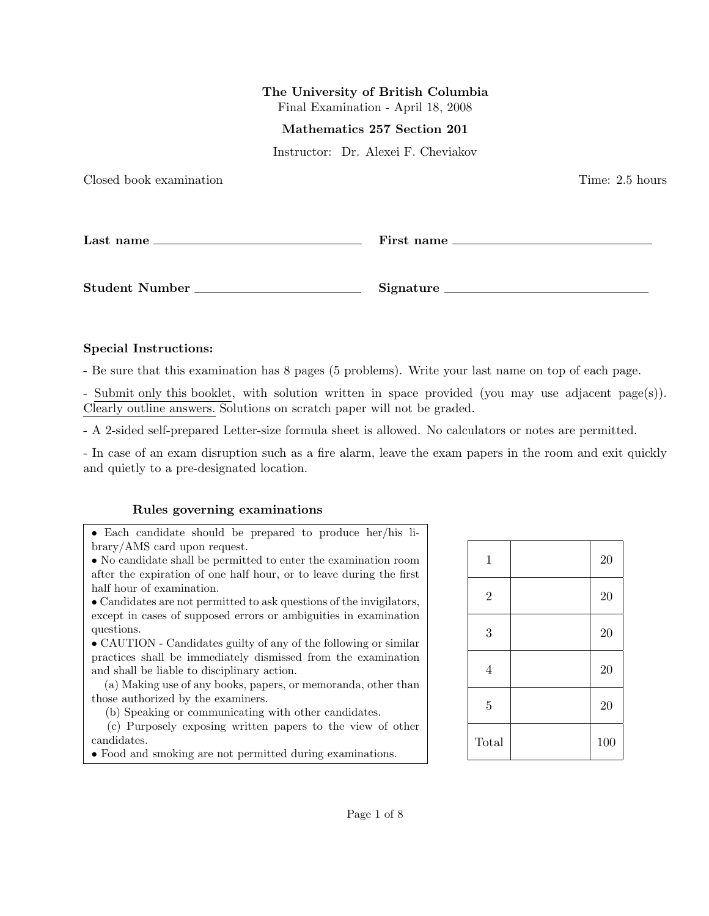# The University of British Columbia

Final Examination - April 18, 2008

#### Mathematics 257 Section 201

Instructor: Dr. Alexei F. Cheviakov

| Closed book examination                                                                                                                                                                                                                                                                                                                                                                                     |           | Time: 2.5 hours |
|-------------------------------------------------------------------------------------------------------------------------------------------------------------------------------------------------------------------------------------------------------------------------------------------------------------------------------------------------------------------------------------------------------------|-----------|-----------------|
| Last name $\frac{1}{\sqrt{1-\frac{1}{2}}\sqrt{1-\frac{1}{2}}\sqrt{1-\frac{1}{2}}\sqrt{1-\frac{1}{2}}\sqrt{1-\frac{1}{2}}\sqrt{1-\frac{1}{2}}\sqrt{1-\frac{1}{2}}\sqrt{1-\frac{1}{2}}\sqrt{1-\frac{1}{2}}\sqrt{1-\frac{1}{2}}\sqrt{1-\frac{1}{2}}\sqrt{1-\frac{1}{2}}\sqrt{1-\frac{1}{2}}\sqrt{1-\frac{1}{2}}\sqrt{1-\frac{1}{2}}\sqrt{1-\frac{1}{2}}\sqrt{1-\frac{1}{2}}\sqrt{1-\frac{1}{2}}\sqrt{1-\frac{$ |           |                 |
| Student Number                                                                                                                                                                                                                                                                                                                                                                                              | Signature |                 |

### Special Instructions:

- Be sure that this examination has 8 pages (5 problems). Write your last name on top of each page.

- Submit only this booklet, with solution written in space provided (you may use adjacent page(s)). Clearly outline answers. Solutions on scratch paper will not be graded.

- A 2-sided self-prepared Letter-size formula sheet is allowed. No calculators or notes are permitted.

- In case of an exam disruption such as a fire alarm, leave the exam papers in the room and exit quickly and quietly to a pre-designated location.

## Rules governing examinations

• Each candidate should be prepared to produce her/his library/AMS card upon request.

• No candidate shall be permitted to enter the examination room after the expiration of one half hour, or to leave during the first half hour of examination.

• Candidates are not permitted to ask questions of the invigilators, except in cases of supposed errors or ambiguities in examination questions.

• CAUTION - Candidates guilty of any of the following or similar practices shall be immediately dismissed from the examination and shall be liable to disciplinary action.

(a) Making use of any books, papers, or memoranda, other than those authorized by the examiners.

(b) Speaking or communicating with other candidates.

(c) Purposely exposing written papers to the view of other candidates.

• Food and smoking are not permitted during examinations.

| $\mathbf{1}$   | 20  |
|----------------|-----|
| $\sqrt{2}$     | 20  |
| 3              | 20  |
| $\overline{4}$ | 20  |
| $\overline{5}$ | 20  |
| Total          | 100 |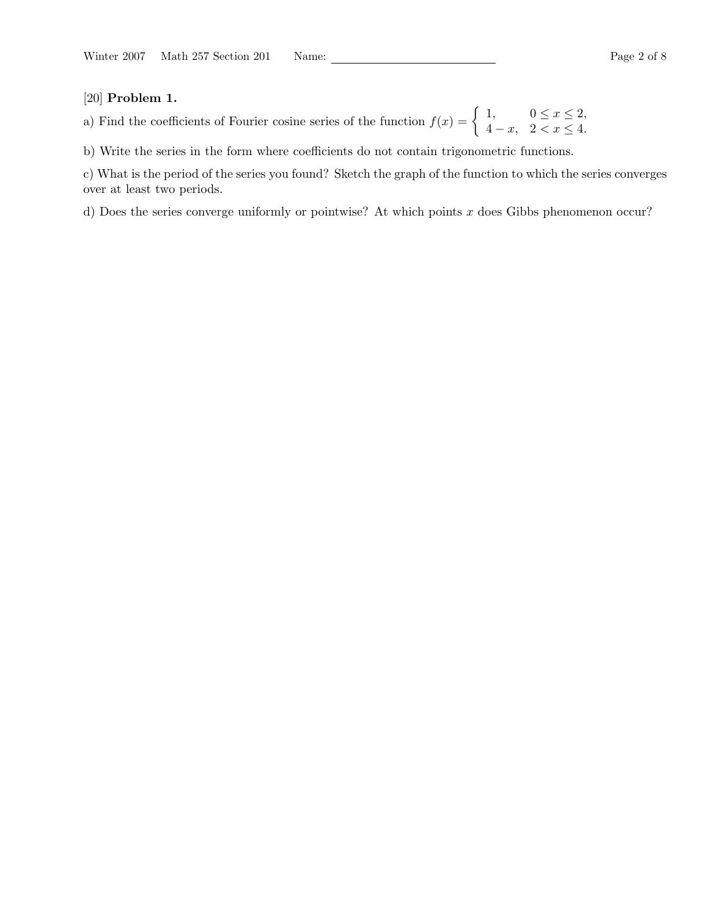#### [20] Problem 1.

[20] **Problem 1.**<br>
(a) Find the coefficients of Fourier cosine series of the function  $f(x) = \begin{cases} 1, & 0 \leq x \leq 2, \\ 0, & x > 4. \end{cases}$  $4 - x$ ,  $2 < x \le 4$ .

b) Write the series in the form where coefficients do not contain trigonometric functions.

c) What is the period of the series you found? Sketch the graph of the function to which the series converges over at least two periods.

d) Does the series converge uniformly or pointwise? At which points  $x$  does Gibbs phenomenon occur?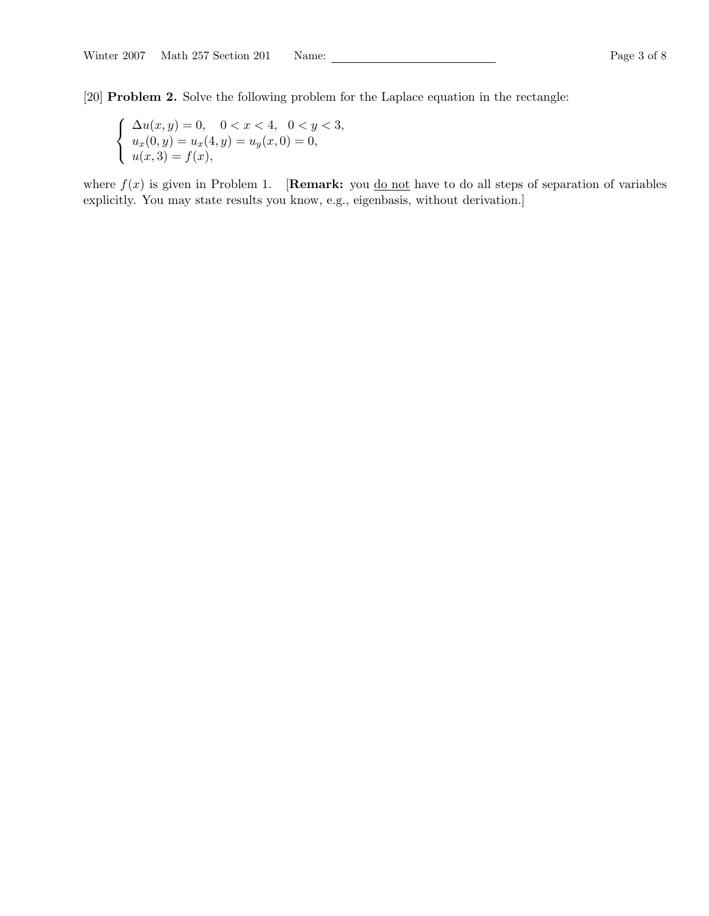[20] Problem 2. Solve the following problem for the Laplace equation in the rectangle:

$$
\begin{cases}\n\Delta u(x, y) = 0, & 0 < x < 4, \quad 0 < y < 3, \\
u_x(0, y) = u_x(4, y) = u_y(x, 0) = 0, \\
u(x, 3) = f(x),\n\end{cases}
$$

where  $f(x)$  is given in Problem 1. [**Remark:** you <u>do not</u> have to do all steps of separation of variables explicitly. You may state results you know, e.g., eigenbasis, without derivation.]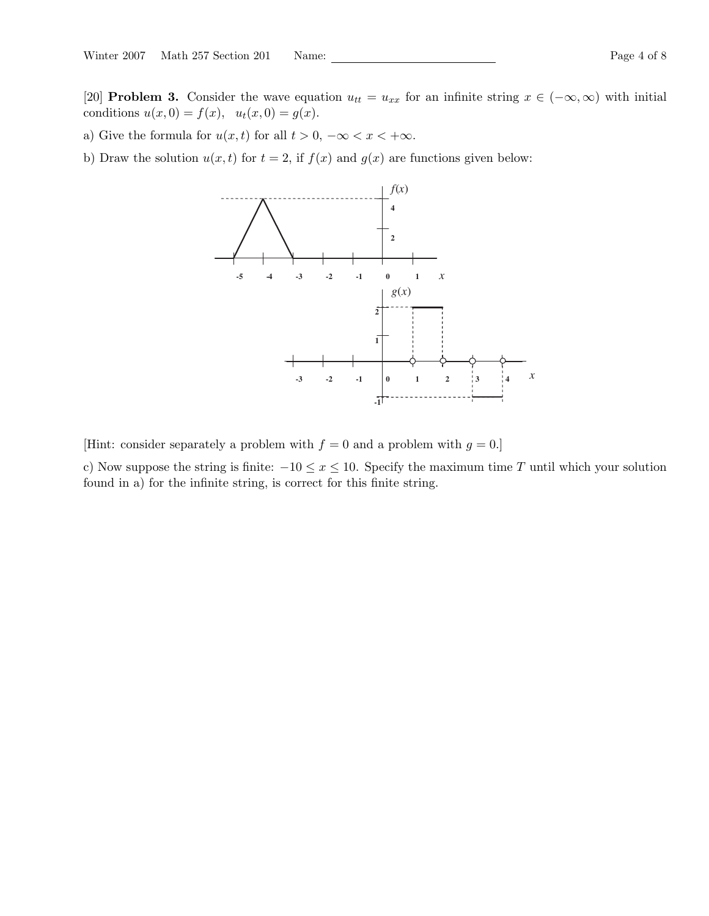[20] **Problem 3.** Consider the wave equation  $u_{tt} = u_{xx}$  for an infinite string  $x \in (-\infty, \infty)$  with initial conditions  $u(x, 0) = f(x)$ ,  $u_t(x, 0) = g(x)$ .

a) Give the formula for  $u(x, t)$  for all  $t > 0$ ,  $-\infty < x < +\infty$ .

b) Draw the solution  $u(x, t)$  for  $t = 2$ , if  $f(x)$  and  $g(x)$  are functions given below:



[Hint: consider separately a problem with  $f = 0$  and a problem with  $g = 0$ .]

c) Now suppose the string is finite:  $-10 \le x \le 10$ . Specify the maximum time T until which your solution found in a) for the infinite string, is correct for this finite string.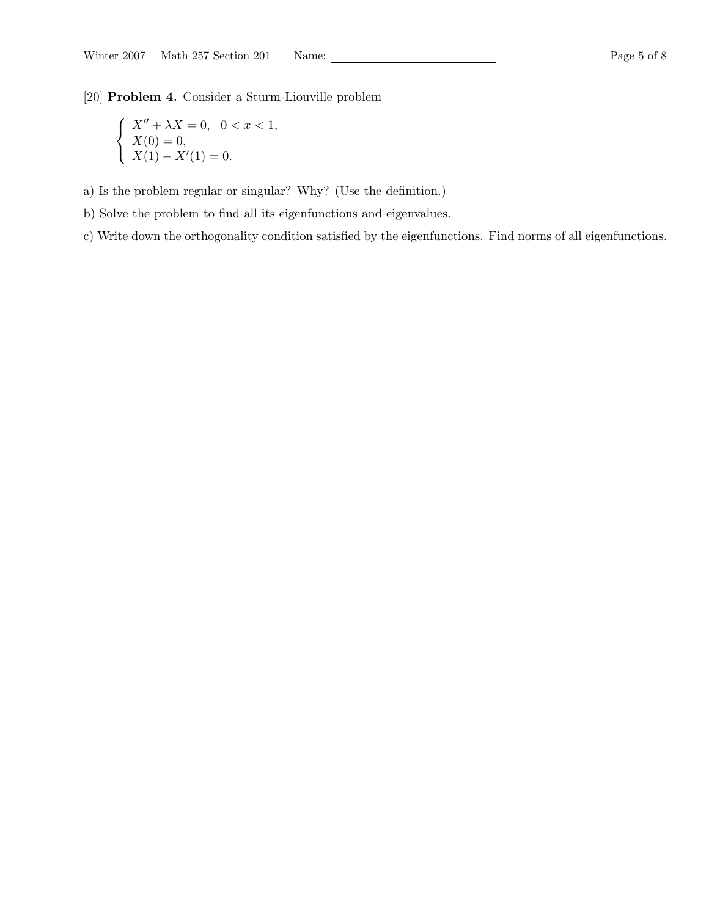[20] Problem 4. Consider a Sturm-Liouville problem

$$
\begin{cases}\nX'' + \lambda X = 0, & 0 < x < 1, \\
X(0) = 0, & \\
X(1) - X'(1) = 0.\n\end{cases}
$$

a) Is the problem regular or singular? Why? (Use the definition.)

b) Solve the problem to find all its eigenfunctions and eigenvalues.

c) Write down the orthogonality condition satisfied by the eigenfunctions. Find norms of all eigenfunctions.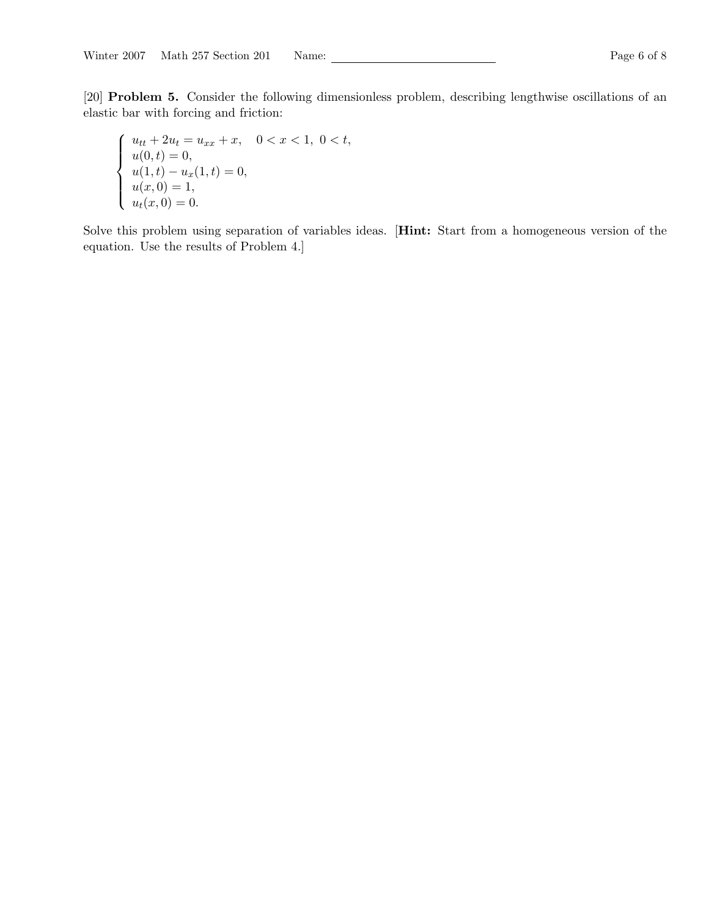[20] Problem 5. Consider the following dimensionless problem, describing lengthwise oscillations of an elastic bar with forcing and friction:

$$
\begin{cases}\n u_{tt} + 2u_t = u_{xx} + x, & 0 < x < 1, \ 0 < t, \\
 u(0, t) = 0, & \\
 u(1, t) - u_x(1, t) = 0, & \\
 u(x, 0) = 1, & \\
 u_t(x, 0) = 0.\n\end{cases}
$$

Solve this problem using separation of variables ideas. [Hint: Start from a homogeneous version of the equation. Use the results of Problem 4.]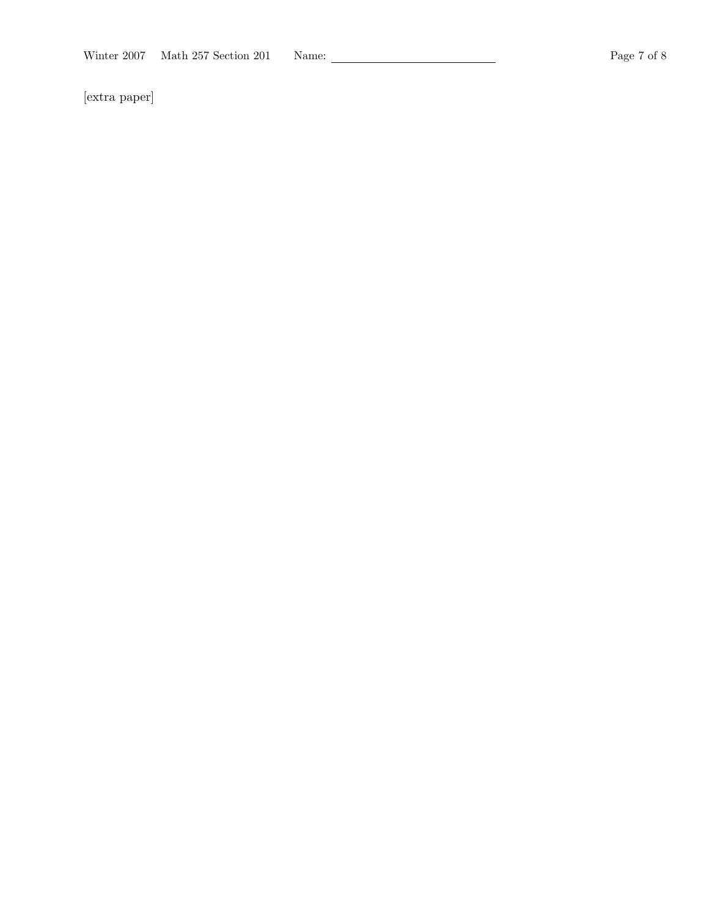[extra paper]